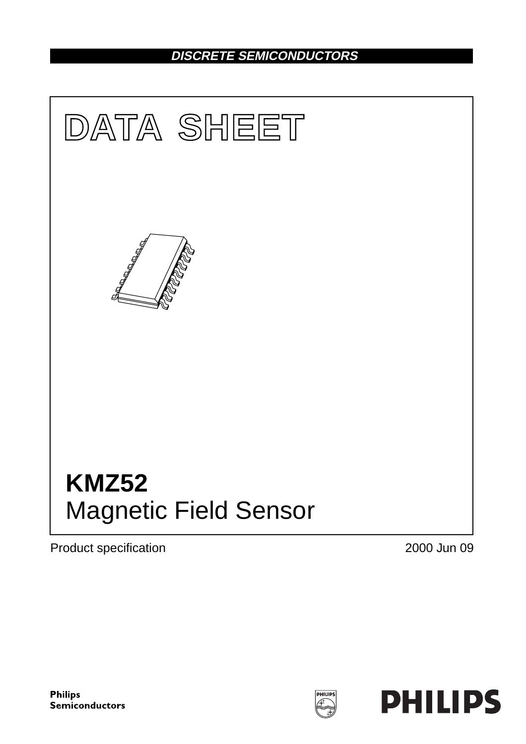## **DISCRETE SEMICONDUCTORS**



Product specification **2000** Jun 09

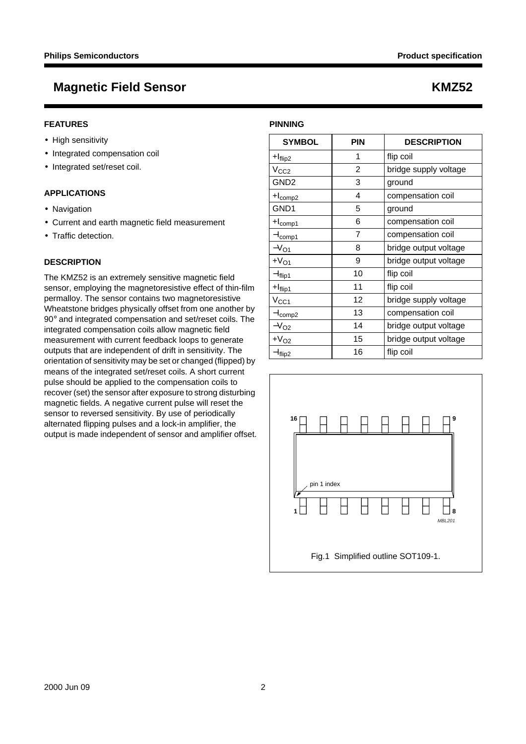#### **FEATURES**

- High sensitivity
- Integrated compensation coil
- Integrated set/reset coil.

### **APPLICATIONS**

- Navigation
- Current and earth magnetic field measurement
- Traffic detection.

### **DESCRIPTION**

The KMZ52 is an extremely sensitive magnetic field sensor, employing the magnetoresistive effect of thin-film permalloy. The sensor contains two magnetoresistive Wheatstone bridges physically offset from one another by 90° and integrated compensation and set/reset coils. The integrated compensation coils allow magnetic field measurement with current feedback loops to generate outputs that are independent of drift in sensitivity. The orientation of sensitivity may be set or changed (flipped) by means of the integrated set/reset coils. A short current pulse should be applied to the compensation coils to recover (set) the sensor after exposure to strong disturbing magnetic fields. A negative current pulse will reset the sensor to reversed sensitivity. By use of periodically alternated flipping pulses and a lock-in amplifier, the output is made independent of sensor and amplifier offset.

| <b>SYMBOL</b>       | <b>PIN</b> | <b>DESCRIPTION</b>    |
|---------------------|------------|-----------------------|
| $+Iflip2$           | 1          | flip coil             |
| V <sub>CC2</sub>    | 2          | bridge supply voltage |
| GND2                | 3          | ground                |
| $+I_{comp2}$        | 4          | compensation coil     |
| GND1                | 5          | ground                |
| $+I_{comp1}$        | 6          | compensation coil     |
| -I <sub>comp1</sub> | 7          | compensation coil     |
| $-V_{O1}$           | 8          | bridge output voltage |
| $+VO1$              | 9          | bridge output voltage |
| $-I_{\text{flip1}}$ | 10         | flip coil             |
| $+Iflip1$           | 11         | flip coil             |
| $V_{\rm CC1}$       | 12         | bridge supply voltage |
| -I <sub>comp2</sub> | 13         | compensation coil     |
| $-V_{O2}$           | 14         | bridge output voltage |
| $+VO2$              | 15         | bridge output voltage |
| $-Iflip2$           | 16         | flip coil             |

**PINNING**

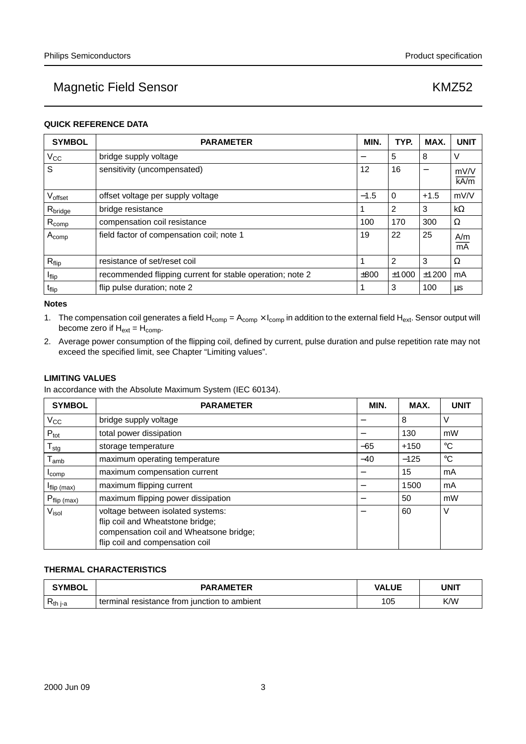### **QUICK REFERENCE DATA**

| <b>SYMBOL</b>            | <b>PARAMETER</b>                                          |  | TYP.       | MAX.   | <b>UNIT</b>  |
|--------------------------|-----------------------------------------------------------|--|------------|--------|--------------|
| $V_{\rm CC}$             | bridge supply voltage                                     |  | 5          | 8      | V            |
| S                        | sensitivity (uncompensated)                               |  | 16         | -      | mV/V<br>kA/m |
| Voffset                  | offset voltage per supply voltage                         |  | $\Omega$   | $+1.5$ | mV/V         |
| R <sub>bridge</sub>      | bridge resistance                                         |  | 2          | 3      | $k\Omega$    |
| $R_{comp}$               | compensation coil resistance                              |  | 170        | 300    | Ω            |
| $A_{comp}$               | field factor of compensation coil; note 1                 |  | 22         | 25     | A/m<br>mA    |
| $R_{flip}$               | resistance of set/reset coil                              |  | 2          | 3      | Ω            |
| <b>I</b> <sub>flip</sub> | recommended flipping current for stable operation; note 2 |  | $\pm$ 1000 | ±1200  | mA           |
| t <sub>flip</sub>        | flip pulse duration; note 2                               |  | 3          | 100    | μs           |

#### **Notes**

- 1. The compensation coil generates a field  $H_{comp} = A_{comp} \times I_{comp}$  in addition to the external field  $H_{ext}$ . Sensor output will become zero if  $H_{ext} = H_{comp}$ .
- 2. Average power consumption of the flipping coil, defined by current, pulse duration and pulse repetition rate may not exceed the specified limit, see Chapter "Limiting values".

### **LIMITING VALUES**

In accordance with the Absolute Maximum System (IEC 60134).

| <b>SYMBOL</b>                | <b>PARAMETER</b>                                                                                                                                    | MIN. | MAX.   | <b>UNIT</b> |
|------------------------------|-----------------------------------------------------------------------------------------------------------------------------------------------------|------|--------|-------------|
| $V_{\rm CC}$                 | bridge supply voltage                                                                                                                               |      | 8      | ν           |
| $P_{\text{tot}}$             | total power dissipation                                                                                                                             |      | 130    | mW          |
| ${\mathsf T}_{\text{stg}}$   | storage temperature                                                                                                                                 |      | $+150$ | $^{\circ}C$ |
| $\mathsf{T}_{\mathsf{amb}}$  | maximum operating temperature                                                                                                                       |      | $-125$ | $^{\circ}C$ |
| $I_{comp}$                   | maximum compensation current                                                                                                                        |      | 15     | mA          |
| $I_{flip \, (max)}$          | maximum flipping current                                                                                                                            |      | 1500   | mA          |
| $P_{flip (max)}$             | maximum flipping power dissipation                                                                                                                  |      | 50     | mW          |
| $\mathsf{V}_{\mathsf{isol}}$ | voltage between isolated systems:<br>flip coil and Wheatstone bridge;<br>compensation coil and Wheatsone bridge;<br>flip coil and compensation coil |      | 60     | V           |

### **THERMAL CHARACTERISTICS**

| <b>SYMBOL</b>       | <b>PARAMETER</b>                                | <b>VALUE</b> | UNIT |
|---------------------|-------------------------------------------------|--------------|------|
| D<br><b>Kth</b> i-a | resistance from junction to ambient<br>terminal | 105          | K/W  |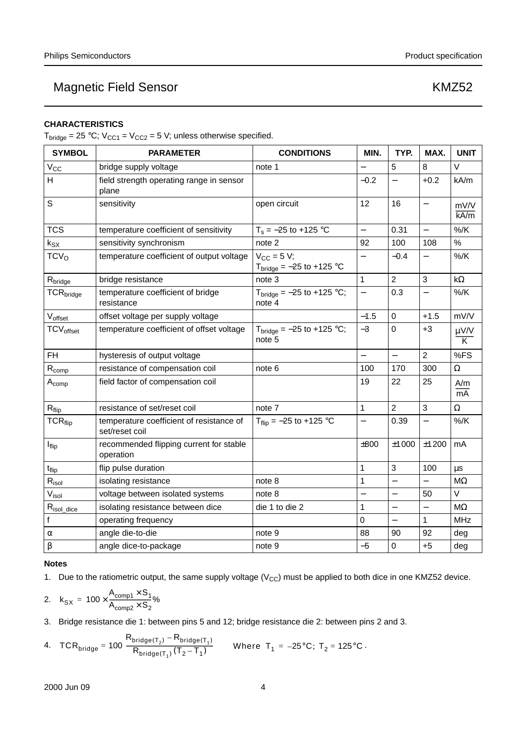### **CHARACTERISTICS**

 $T_{bridge} = 25 °C$ ;  $V_{CC1} = V_{CC2} = 5 V$ ; unless otherwise specified.

| <b>SYMBOL</b>                | <b>PARAMETER</b>                                           | <b>CONDITIONS</b>                             | MIN.                     | TYP.                     | MAX.                     | <b>UNIT</b>         |
|------------------------------|------------------------------------------------------------|-----------------------------------------------|--------------------------|--------------------------|--------------------------|---------------------|
| V <sub>cc</sub>              | bridge supply voltage                                      | note 1                                        |                          | 5                        | 8                        | V                   |
| H                            | field strength operating range in sensor<br>plane          |                                               | $-0.2$                   | $\overline{\phantom{0}}$ | $+0.2$                   | kA/m                |
| S                            | sensitivity                                                | open circuit                                  | 12                       | 16                       | $\overline{\phantom{0}}$ | mV/V<br>kA/m        |
| <b>TCS</b>                   | temperature coefficient of sensitivity                     | $T_s = -25$ to +125 °C                        | $\qquad \qquad -$        | 0.31                     |                          | $%$ /K              |
| $k_{SX}$                     | sensitivity synchronism                                    | note 2                                        | 92                       | 100                      | 108                      | $\%$                |
| TCV <sub>O</sub>             | temperature coefficient of output voltage                  | $V_{CC}$ = 5 V;<br>$Tbridge = -25$ to +125 °C |                          | $-0.4$                   |                          | $%$ /K              |
| R <sub>bridge</sub>          | bridge resistance                                          | note <sub>3</sub>                             | 1                        | $\overline{2}$           | 3                        | $k\Omega$           |
| TCR <sub>bridge</sub>        | temperature coefficient of bridge<br>resistance            | $Tbridge = -25$ to +125 °C;<br>note 4         | $\overline{\phantom{0}}$ | 0.3                      |                          | $%$ /K              |
| Voffset                      | offset voltage per supply voltage                          |                                               | $-1.5$                   | $\pmb{0}$                | $+1.5$                   | mV/V                |
| <b>TCV</b> <sub>offset</sub> | temperature coefficient of offset voltage                  | $Tbridge = -25$ to +125 °C;<br>note 5         | $-3$                     | $\mathbf 0$              | $+3$                     | $\frac{\mu V/V}{K}$ |
| <b>FH</b>                    | hysteresis of output voltage                               |                                               | $\equiv$                 | $\equiv$                 | $\overline{2}$           | %FS                 |
| $R_{comp}$                   | resistance of compensation coil                            | note 6                                        | 100                      | 170                      | 300                      | $\Omega$            |
| $A_{comp}$                   | field factor of compensation coil                          |                                               | 19                       | 22                       | 25                       | A/m<br>mA           |
| $R_{flip}$                   | resistance of set/reset coil                               | note 7                                        | 1                        | $\overline{2}$           | 3                        | Ω                   |
| <b>TCR</b> <sub>flip</sub>   | temperature coefficient of resistance of<br>set/reset coil | $T_{flip} = -25$ to +125 °C                   | $\equiv$                 | 0.39                     | $\equiv$                 | $\%$ /K             |
| $I_{flip}$                   | recommended flipping current for stable<br>operation       |                                               | ±800                     | ±1000                    | ±1200                    | mA                  |
| t <sub>flip</sub>            | flip pulse duration                                        |                                               | $\mathbf{1}$             | 3                        | 100                      | μs                  |
| $R_{\text{isol}}$            | isolating resistance                                       | note 8                                        | 1                        | $\equiv$                 |                          | $M\Omega$           |
| Visol                        | voltage between isolated systems                           | note 8                                        | $\overline{\phantom{0}}$ |                          | 50                       | $\vee$              |
| $R_{isol\_dice}$             | isolating resistance between dice                          | die 1 to die 2                                | 1                        | $\overline{\phantom{0}}$ | $\overline{\phantom{0}}$ | $M\Omega$           |
| f                            | operating frequency                                        |                                               | 0                        | $\equiv$                 | 1                        | MHz                 |
| $\alpha$                     | angle die-to-die                                           | note 9                                        | 88                       | 90                       | 92                       | deg                 |
| β                            | angle dice-to-package                                      | note 9                                        | $-5$                     | $\mathbf 0$              | $+5$                     | deg                 |

#### **Notes**

1. Due to the ratiometric output, the same supply voltage ( $V_{CC}$ ) must be applied to both dice in one KMZ52 device.

$$
2. \quad k_{SX} = 100 \times \frac{A_{comp1} \times S_1}{A_{comp2} \times S_2} \%
$$

3. Bridge resistance die 1: between pins 5 and 12; bridge resistance die 2: between pins 2 and 3.

4. 
$$
\text{TCR}_{\text{bridge}} = 100 \frac{R_{\text{bridge}(T_2)} - R_{\text{bridge}(T_1)}}{R_{\text{bridge}(T_1)}(T_2 - T_1)} \quad \text{Where } T_1 = -25^{\circ}C; T_2 = 125^{\circ}C.
$$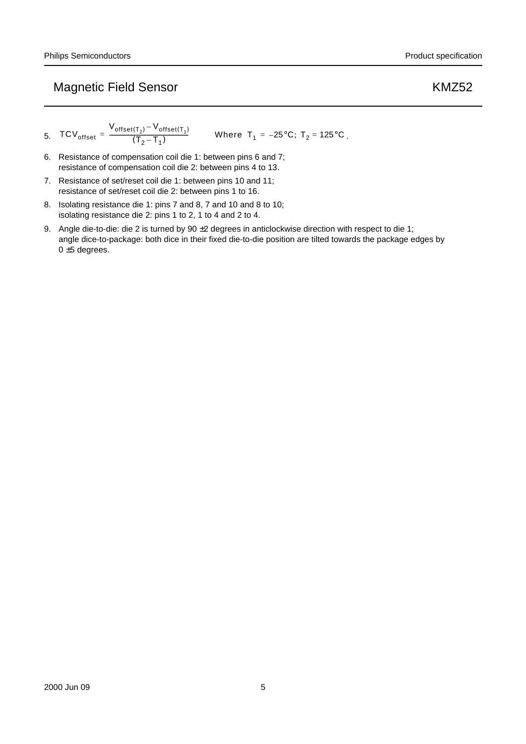5. 
$$
TCV_{offset} = \frac{V_{offset(T_2)} - V_{offset(T_1)}}{(T_2 - T_1)}
$$
 Where  $T_1 = -25^\circ \text{C}$ ;  $T_2 = 125^\circ \text{C}$ .

6. Resistance of compensation coil die 1: between pins 6 and 7; resistance of compensation coil die 2: between pins 4 to 13.

- 7. Resistance of set/reset coil die 1: between pins 10 and 11; resistance of set/reset coil die 2: between pins 1 to 16.
- 8. Isolating resistance die 1: pins 7 and 8, 7 and 10 and 8 to 10; isolating resistance die 2: pins 1 to 2, 1 to 4 and 2 to 4.
- 9. Angle die-to-die: die 2 is turned by 90  $\pm$ 2 degrees in anticlockwise direction with respect to die 1; angle dice-to-package: both dice in their fixed die-to-die position are tilted towards the package edges by  $0 \pm 5$  degrees.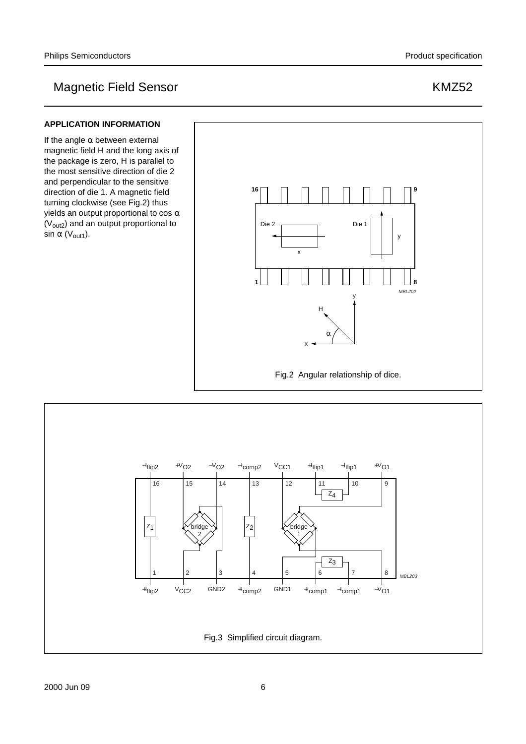### **APPLICATION INFORMATION**

If the angle  $\alpha$  between external magnetic field H and the long axis of the package is zero, H is parallel to the most sensitive direction of die 2 and perpendicular to the sensitive direction of die 1. A magnetic field turning clockwise (see Fig.2) thus yields an output proportional to cos  $\alpha$ (V<sub>out2</sub>) and an output proportional to sin  $\alpha$  (V<sub>out1</sub>).



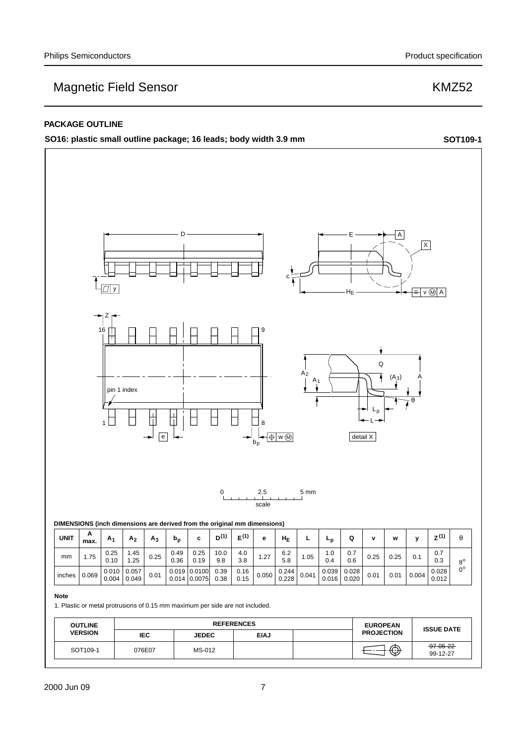#### **PACKAGE OUTLINE**

**SO16: plastic small outline package; 16 leads; body width 3.9 mm <b>SOT109-1** SOT109-1

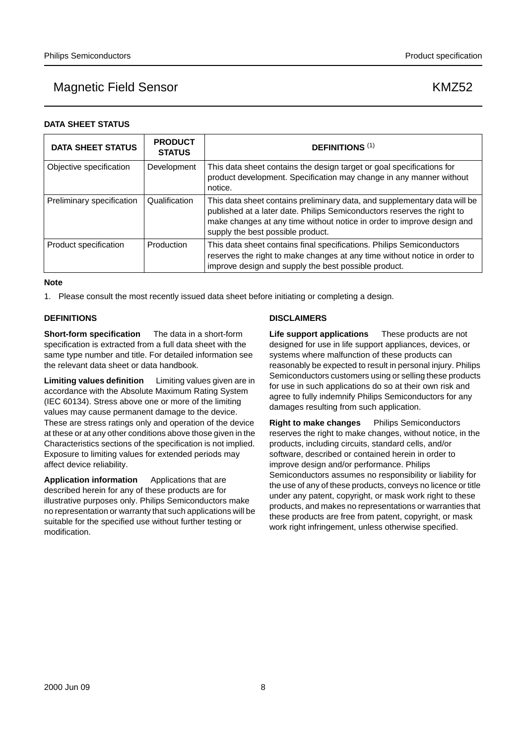### **DATA SHEET STATUS**

| <b>DATA SHEET STATUS</b>  | <b>PRODUCT</b><br><b>STATUS</b> | <b>DEFINITIONS (1)</b>                                                                                                                                                                                                                                              |
|---------------------------|---------------------------------|---------------------------------------------------------------------------------------------------------------------------------------------------------------------------------------------------------------------------------------------------------------------|
| Objective specification   | Development                     | This data sheet contains the design target or goal specifications for<br>product development. Specification may change in any manner without<br>notice.                                                                                                             |
| Preliminary specification | Qualification                   | This data sheet contains preliminary data, and supplementary data will be<br>published at a later date. Philips Semiconductors reserves the right to<br>make changes at any time without notice in order to improve design and<br>supply the best possible product. |
| Product specification     | Production                      | This data sheet contains final specifications. Philips Semiconductors<br>reserves the right to make changes at any time without notice in order to<br>improve design and supply the best possible product.                                                          |

#### **Note**

1. Please consult the most recently issued data sheet before initiating or completing a design.

### **DEFINITIONS**

**Short-form specification** — The data in a short-form specification is extracted from a full data sheet with the same type number and title. For detailed information see the relevant data sheet or data handbook.

**Limiting values definition** — Limiting values given are in accordance with the Absolute Maximum Rating System (IEC 60134). Stress above one or more of the limiting values may cause permanent damage to the device. These are stress ratings only and operation of the device at these or at any other conditions above those given in the Characteristics sections of the specification is not implied. Exposure to limiting values for extended periods may affect device reliability.

**Application information** — Applications that are described herein for any of these products are for illustrative purposes only. Philips Semiconductors make no representation or warranty that such applications will be suitable for the specified use without further testing or modification.

### **DISCLAIMERS**

**Life support applications** — These products are not designed for use in life support appliances, devices, or systems where malfunction of these products can reasonably be expected to result in personal injury. Philips Semiconductors customers using or selling these products for use in such applications do so at their own risk and agree to fully indemnify Philips Semiconductors for any damages resulting from such application.

**Right to make changes** - Philips Semiconductors reserves the right to make changes, without notice, in the products, including circuits, standard cells, and/or software, described or contained herein in order to improve design and/or performance. Philips Semiconductors assumes no responsibility or liability for the use of any of these products, conveys no licence or title under any patent, copyright, or mask work right to these products, and makes no representations or warranties that these products are free from patent, copyright, or mask work right infringement, unless otherwise specified.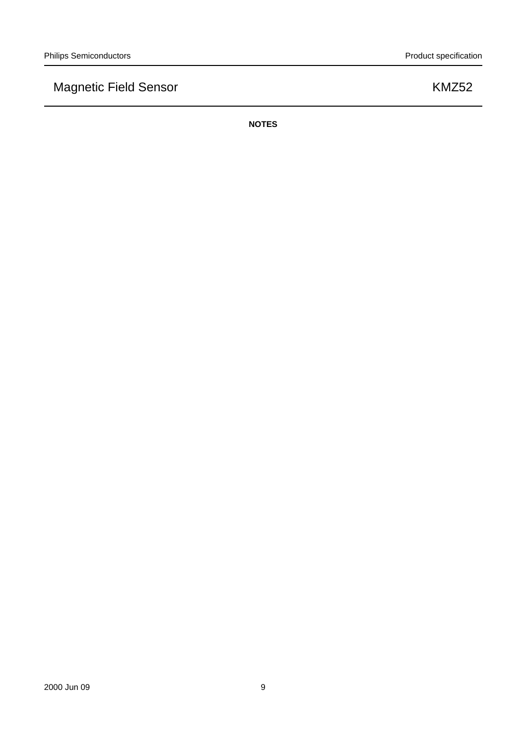**NOTES**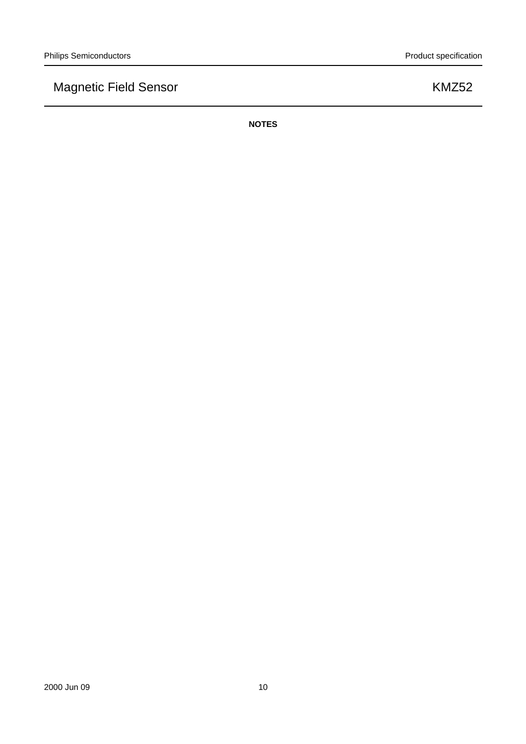**NOTES**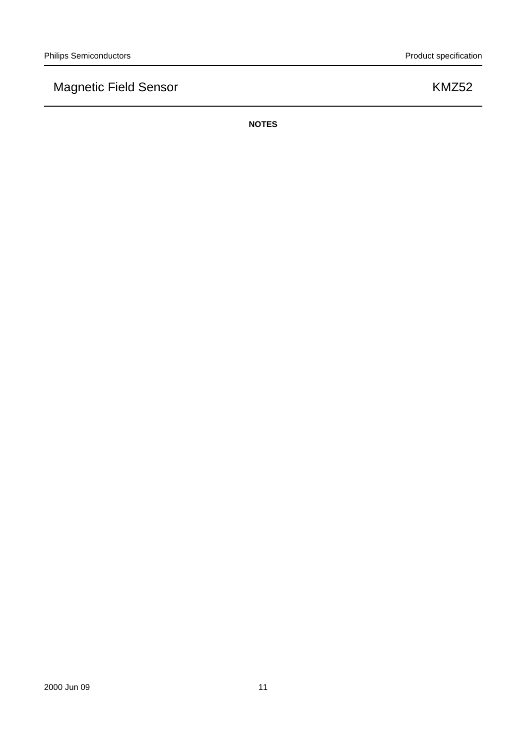**NOTES**